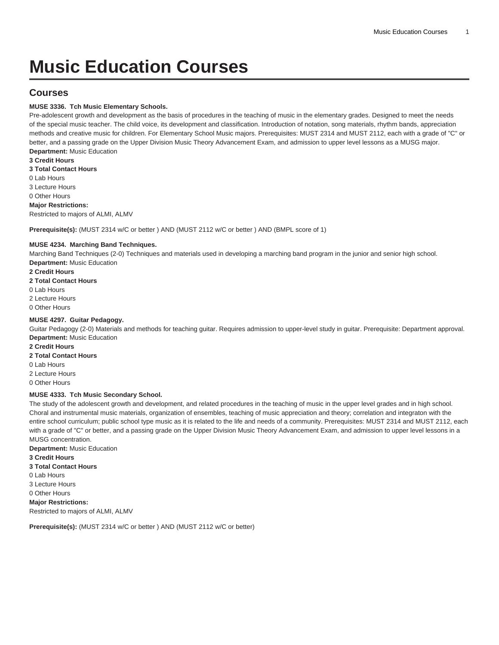# **Music Education Courses**

# **Courses**

# **MUSE 3336. Tch Music Elementary Schools.**

Pre-adolescent growth and development as the basis of procedures in the teaching of music in the elementary grades. Designed to meet the needs of the special music teacher. The child voice, its development and classification. Introduction of notation, song materials, rhythm bands, appreciation methods and creative music for children. For Elementary School Music majors. Prerequisites: [MUST 2314](/search/?P=MUST%202314) and [MUST 2112](/search/?P=MUST%202112), each with a grade of "C" or better, and a passing grade on the Upper Division Music Theory Advancement Exam, and admission to upper level lessons as a MUSG major. **Department:** Music Education

**3 Credit Hours 3 Total Contact Hours** 0 Lab Hours 3 Lecture Hours 0 Other Hours **Major Restrictions:** Restricted to majors of ALMI, ALMV

**Prerequisite(s):** ([MUST 2314](/search/?P=MUST%202314) w/C or better ) AND [\(MUST 2112](/search/?P=MUST%202112) w/C or better ) AND (BMPL score of 1)

# **MUSE 4234. Marching Band Techniques.**

Marching Band Techniques (2-0) Techniques and materials used in developing a marching band program in the junior and senior high school. **Department:** Music Education

**2 Credit Hours 2 Total Contact Hours** 0 Lab Hours 2 Lecture Hours 0 Other Hours

## **MUSE 4297. Guitar Pedagogy.**

Guitar Pedagogy (2-0) Materials and methods for teaching guitar. Requires admission to upper-level study in guitar. Prerequisite: Department approval. **Department:** Music Education

**2 Credit Hours 2 Total Contact Hours** 0 Lab Hours

2 Lecture Hours 0 Other Hours

## **MUSE 4333. Tch Music Secondary School.**

The study of the adolescent growth and development, and related procedures in the teaching of music in the upper level grades and in high school. Choral and instrumental music materials, organization of ensembles, teaching of music appreciation and theory; correlation and integraton with the entire school curriculum; public school type music as it is related to the life and needs of a community. Prerequisites: [MUST 2314](/search/?P=MUST%202314) and [MUST 2112,](/search/?P=MUST%202112) each with a grade of "C" or better, and a passing grade on the Upper Division Music Theory Advancement Exam, and admission to upper level lessons in a MUSG concentration.

**Department:** Music Education **3 Credit Hours 3 Total Contact Hours** 0 Lab Hours 3 Lecture Hours 0 Other Hours **Major Restrictions:** Restricted to majors of ALMI, ALMV

**Prerequisite(s):** ([MUST 2314](/search/?P=MUST%202314) w/C or better ) AND [\(MUST 2112](/search/?P=MUST%202112) w/C or better)